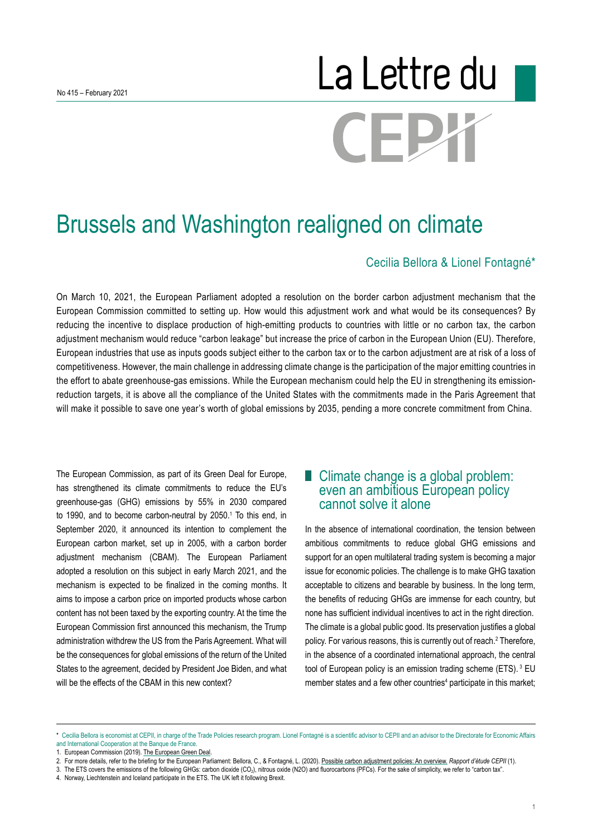# La Lettre du CEP,

## Brussels and Washington realigned on climate

#### Cecilia Bellora & Lionel Fontagné\*

On March 10, 2021, the European Parliament adopted a resolution on the border carbon adjustment mechanism that the European Commission committed to setting up. How would this adjustment work and what would be its consequences? By reducing the incentive to displace production of high-emitting products to countries with little or no carbon tax, the carbon adjustment mechanism would reduce "carbon leakage" but increase the price of carbon in the European Union (EU). Therefore, European industries that use as inputs goods subject either to the carbon tax or to the carbon adjustment are at risk of a loss of competitiveness. However, the main challenge in addressing climate change is the participation of the major emitting countries in the effort to abate greenhouse-gas emissions. While the European mechanism could help the EU in strengthening its emissionreduction targets, it is above all the compliance of the United States with the commitments made in the Paris Agreement that will make it possible to save one year's worth of global emissions by 2035, pending a more concrete commitment from China.

The European Commission, as part of its Green Deal for Europe, has strengthened its climate commitments to reduce the EU's greenhouse-gas (GHG) emissions by 55% in 2030 compared to 1990, and to become carbon-neutral by 2050.<sup>1</sup> To this end, in September 2020, it announced its intention to complement the European carbon market, set up in 2005, with a carbon border adjustment mechanism (CBAM). The European Parliament adopted a resolution on this subject in early March 2021, and the mechanism is expected to be finalized in the coming months. It aims to impose a carbon price on imported products whose carbon content has not been taxed by the exporting country. At the time the European Commission first announced this mechanism, the Trump administration withdrew the US from the Paris Agreement. What will be the consequences for global emissions of the return of the United States to the agreement, decided by President Joe Biden, and what will be the effects of the CBAM in this new context?

#### ■ Climate change is a global problem: even an ambitious European policy cannot solve it alone

In the absence of international coordination, the tension between ambitious commitments to reduce global GHG emissions and support for an open multilateral trading system is becoming a major issue for economic policies. The challenge is to make GHG taxation acceptable to citizens and bearable by business. In the long term, the benefits of reducing GHGs are immense for each country, but none has sufficient individual incentives to act in the right direction. The climate is a global public good. Its preservation justifies a global policy. For various reasons, this is currently out of reach.2 Therefore, in the absence of a coordinated international approach, the central tool of European policy is an emission trading scheme (ETS).<sup>3</sup> EU member states and a few other countries<sup>4</sup> participate in this market;

<sup>\*</sup> Cecilia Bellora is economist at CEPII, in charge of the Trade Policies research program. Lionel Fontagné is a scientific advisor to CEPII and an advisor to the Directorate for Economic Affairs and International Cooperation at the Banque de France.

<sup>1.</sup> European Commission (2019). The European Green Deal

<sup>2.</sup> For more details, refer to the briefing for the European Parliament: Bellora, C., & Fontagné, L. (2020). [Possible carbon adjustment policies: An overview.](http://cepii.fr/CEPII/fr/publications/reports/abstract.asp?NoDoc=12690) *Rapport d'étude CEPII* (1).

<sup>3.</sup> The ETS covers the emissions of the following GHGs: carbon dioxide (CO2), nitrous oxide (N2O) and fluorocarbons (PFCs). For the sake of simplicity, we refer to "carbon tax".

<sup>4.</sup> Norway, Liechtenstein and Iceland participate in the ETS. The UK left it following Brexit.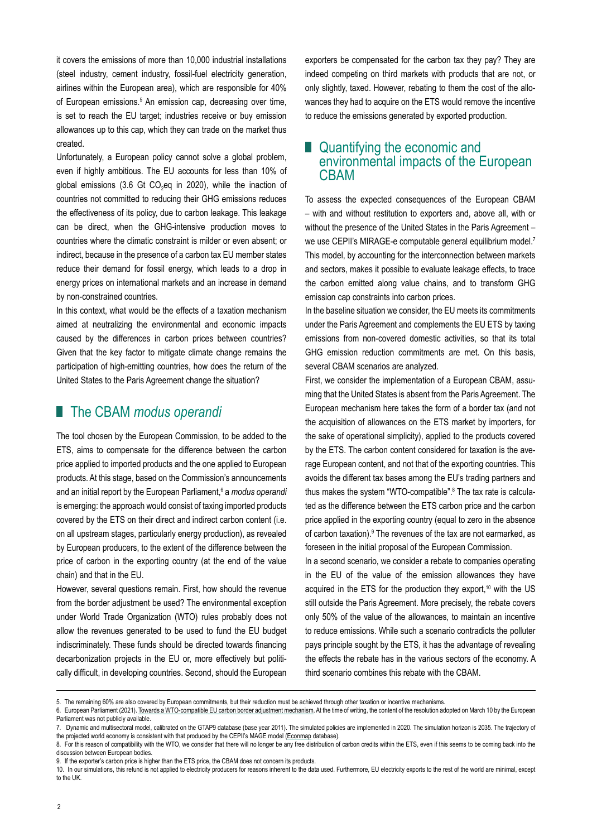it covers the emissions of more than 10,000 industrial installations (steel industry, cement industry, fossil-fuel electricity generation, airlines within the European area), which are responsible for 40% of European emissions.<sup>5</sup> An emission cap, decreasing over time, is set to reach the EU target; industries receive or buy emission allowances up to this cap, which they can trade on the market thus created.

Unfortunately, a European policy cannot solve a global problem, even if highly ambitious. The EU accounts for less than 10% of global emissions (3.6 Gt CO<sub>2</sub>eq in 2020), while the inaction of countries not committed to reducing their GHG emissions reduces the effectiveness of its policy, due to carbon leakage. This leakage can be direct, when the GHG-intensive production moves to countries where the climatic constraint is milder or even absent; or indirect, because in the presence of a carbon tax EU member states reduce their demand for fossil energy, which leads to a drop in energy prices on international markets and an increase in demand by non-constrained countries.

In this context, what would be the effects of a taxation mechanism aimed at neutralizing the environmental and economic impacts caused by the differences in carbon prices between countries? Given that the key factor to mitigate climate change remains the participation of high-emitting countries, how does the return of the United States to the Paris Agreement change the situation?

#### ■ The CBAM *modus operandi*

The tool chosen by the European Commission, to be added to the ETS, aims to compensate for the difference between the carbon price applied to imported products and the one applied to European products. At this stage, based on the Commission's announcements and an initial report by the European Parliament,<sup>s</sup> a *modus operandi* is emerging: the approach would consist of taxing imported products covered by the ETS on their direct and indirect carbon content (i.e. on all upstream stages, particularly energy production), as revealed by European producers, to the extent of the difference between the price of carbon in the exporting country (at the end of the value chain) and that in the EU.

However, several questions remain. First, how should the revenue from the border adjustment be used? The environmental exception under World Trade Organization (WTO) rules probably does not allow the revenues generated to be used to fund the EU budget indiscriminately. These funds should be directed towards financing decarbonization projects in the EU or, more effectively but politically difficult, in developing countries. Second, should the European exporters be compensated for the carbon tax they pay? They are indeed competing on third markets with products that are not, or only slightly, taxed. However, rebating to them the cost of the allowances they had to acquire on the ETS would remove the incentive to reduce the emissions generated by exported production.

#### **Quantifying the economic and** environmental impacts of the European CBAM

To assess the expected consequences of the European CBAM – with and without restitution to exporters and, above all, with or without the presence of the United States in the Paris Agreement – we use CEPII's MIRAGE-e computable general equilibrium model.<sup>7</sup> This model, by accounting for the interconnection between markets and sectors, makes it possible to evaluate leakage effects, to trace the carbon emitted along value chains, and to transform GHG emission cap constraints into carbon prices.

In the baseline situation we consider, the EU meets its commitments under the Paris Agreement and complements the EU ETS by taxing emissions from non-covered domestic activities, so that its total GHG emission reduction commitments are met. On this basis, several CBAM scenarios are analyzed.

First, we consider the implementation of a European CBAM, assuming that the United States is absent from the Paris Agreement. The European mechanism here takes the form of a border tax (and not the acquisition of allowances on the ETS market by importers, for the sake of operational simplicity), applied to the products covered by the ETS. The carbon content considered for taxation is the average European content, and not that of the exporting countries. This avoids the different tax bases among the EU's trading partners and thus makes the system "WTO-compatible".<sup>8</sup> The tax rate is calculated as the difference between the ETS carbon price and the carbon price applied in the exporting country (equal to zero in the absence of carbon taxation). <sup>9</sup> The revenues of the tax are not earmarked, as foreseen in the initial proposal of the European Commission.

In a second scenario, we consider a rebate to companies operating in the EU of the value of the emission allowances they have acquired in the ETS for the production they export,<sup>10</sup> with the US still outside the Paris Agreement. More precisely, the rebate covers only 50% of the value of the allowances, to maintain an incentive to reduce emissions. While such a scenario contradicts the polluter pays principle sought by the ETS, it has the advantage of revealing the effects the rebate has in the various sectors of the economy. A third scenario combines this rebate with the CBAM.

<sup>5.</sup> The remaining 60% are also covered by European commitments, but their reduction must be achieved through other taxation or incentive mechanisms.

<sup>6.</sup> European Parliament (2021). [Towards a WTO-compatible EU carbon border adjustment mechanism.](https://www.europarl.europa.eu/doceo/document/A-9-2021-0019_EN.html) At the time of writing, the content of the resolution adopted on March 10 by the European Parliament was not publicly available.

<sup>7.</sup> Dynamic and multisectoral model, calibrated on the GTAP9 database (base year 2011). The simulated policies are implemented in 2020. The simulation horizon is 2035. The trajectory of the projected world economy is consistent with that produced by the CEPII's MAGE model ([Econmap d](http://www.cepii.fr/cepii/en/bdd_modele/presentation.asp?id=11)atabase).

<sup>8.</sup> For this reason of compatibility with the WTO, we consider that there will no longer be any free distribution of carbon credits within the ETS, even if this seems to be coming back into the discussion between European bodies.

<sup>9.</sup> If the exporter's carbon price is higher than the ETS price, the CBAM does not concern its products.

<sup>10.</sup> In our simulations, this refund is not applied to electricity producers for reasons inherent to the data used. Furthermore, EU electricity exports to the rest of the world are minimal, except to the UK.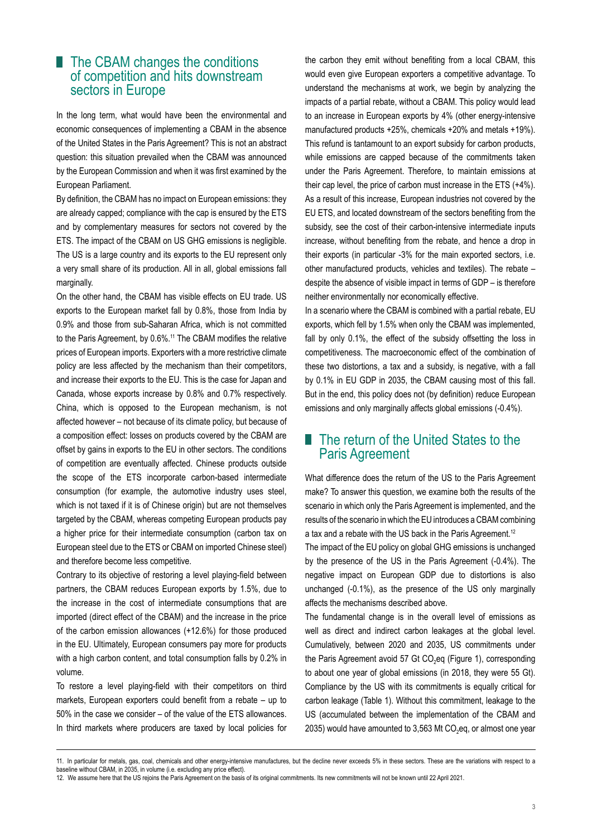#### ■ The CBAM changes the conditions of competition and hits downstream sectors in Europe

In the long term, what would have been the environmental and economic consequences of implementing a CBAM in the absence of the United States in the Paris Agreement? This is not an abstract question: this situation prevailed when the CBAM was announced by the European Commission and when it was first examined by the European Parliament.

By definition, the CBAM has no impact on European emissions: they are already capped; compliance with the cap is ensured by the ETS and by complementary measures for sectors not covered by the ETS. The impact of the CBAM on US GHG emissions is negligible. The US is a large country and its exports to the EU represent only a very small share of its production. All in all, global emissions fall marginally.

On the other hand, the CBAM has visible effects on EU trade. US exports to the European market fall by 0.8%, those from India by 0.9% and those from sub-Saharan Africa, which is not committed to the Paris Agreement, by 0.6%.<sup>11</sup> The CBAM modifies the relative prices of European imports. Exporters with a more restrictive climate policy are less affected by the mechanism than their competitors, and increase their exports to the EU. This is the case for Japan and Canada, whose exports increase by 0.8% and 0.7% respectively. China, which is opposed to the European mechanism, is not affected however – not because of its climate policy, but because of a composition effect: losses on products covered by the CBAM are offset by gains in exports to the EU in other sectors. The conditions of competition are eventually affected. Chinese products outside the scope of the ETS incorporate carbon-based intermediate consumption (for example, the automotive industry uses steel, which is not taxed if it is of Chinese origin) but are not themselves targeted by the CBAM, whereas competing European products pay a higher price for their intermediate consumption (carbon tax on European steel due to the ETS or CBAM on imported Chinese steel) and therefore become less competitive.

Contrary to its objective of restoring a level playing-field between partners, the CBAM reduces European exports by 1.5%, due to the increase in the cost of intermediate consumptions that are imported (direct effect of the CBAM) and the increase in the price of the carbon emission allowances (+12.6%) for those produced in the EU. Ultimately, European consumers pay more for products with a high carbon content, and total consumption falls by 0.2% in volume.

To restore a level playing-field with their competitors on third markets, European exporters could benefit from a rebate – up to 50% in the case we consider – of the value of the ETS allowances. In third markets where producers are taxed by local policies for the carbon they emit without benefiting from a local CBAM, this would even give European exporters a competitive advantage. To understand the mechanisms at work, we begin by analyzing the impacts of a partial rebate, without a CBAM. This policy would lead to an increase in European exports by 4% (other energy-intensive manufactured products +25%, chemicals +20% and metals +19%). This refund is tantamount to an export subsidy for carbon products, while emissions are capped because of the commitments taken under the Paris Agreement. Therefore, to maintain emissions at their cap level, the price of carbon must increase in the ETS (+4%). As a result of this increase, European industries not covered by the EU ETS, and located downstream of the sectors benefiting from the subsidy, see the cost of their carbon-intensive intermediate inputs increase, without benefiting from the rebate, and hence a drop in their exports (in particular -3% for the main exported sectors, i.e. other manufactured products, vehicles and textiles). The rebate – despite the absence of visible impact in terms of GDP – is therefore neither environmentally nor economically effective.

In a scenario where the CBAM is combined with a partial rebate, EU exports, which fell by 1.5% when only the CBAM was implemented, fall by only 0.1%, the effect of the subsidy offsetting the loss in competitiveness. The macroeconomic effect of the combination of these two distortions, a tax and a subsidy, is negative, with a fall by 0.1% in EU GDP in 2035, the CBAM causing most of this fall. But in the end, this policy does not (by definition) reduce European emissions and only marginally affects global emissions (-0.4%).

#### **The return of the United States to the** Paris Agreement

What difference does the return of the US to the Paris Agreement make? To answer this question, we examine both the results of the scenario in which only the Paris Agreement is implemented, and the results of the scenario in which the EU introduces a CBAM combining a tax and a rebate with the US back in the Paris Agreement.<sup>12</sup>

The impact of the EU policy on global GHG emissions is unchanged by the presence of the US in the Paris Agreement (-0.4%). The negative impact on European GDP due to distortions is also unchanged (-0.1%), as the presence of the US only marginally affects the mechanisms described above.

The fundamental change is in the overall level of emissions as well as direct and indirect carbon leakages at the global level. Cumulatively, between 2020 and 2035, US commitments under the Paris Agreement avoid 57 Gt CO<sub>2</sub>eg (Figure 1), corresponding to about one year of global emissions (in 2018, they were 55 Gt). Compliance by the US with its commitments is equally critical for carbon leakage (Table 1). Without this commitment, leakage to the US (accumulated between the implementation of the CBAM and 2035) would have amounted to 3,563 Mt  $CO<sub>2</sub>$ eq, or almost one year

<sup>11.</sup> In particular for metals, gas, coal, chemicals and other energy-intensive manufactures, but the decline never exceeds 5% in these sectors. These are the variations with respect to a baseline without CBAM, in 2035, in volume (i.e. excluding any price effect).

<sup>12.</sup> We assume here that the US rejoins the Paris Agreement on the basis of its original commitments. Its new commitments will not be known until 22 April 2021.